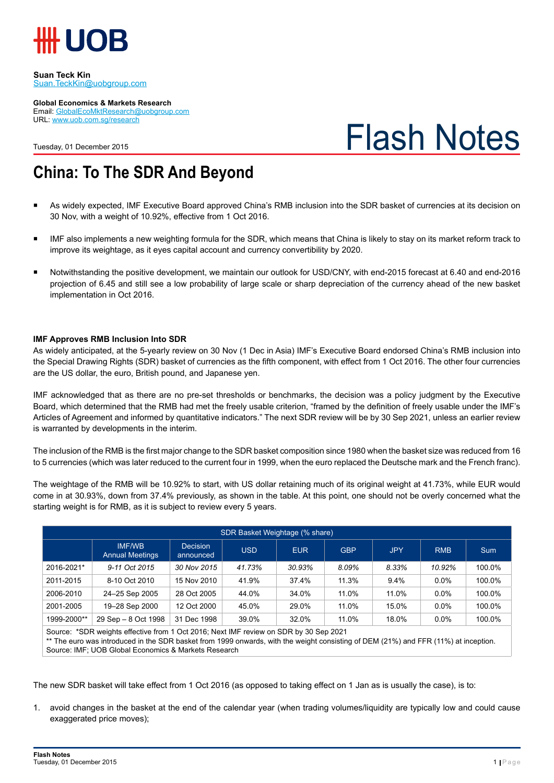

#### **Suan Teck Kin** Suan.TeckKin@uobgroup.com

**Global Economics & Markets Research**

Email: GlobalEcoMktResearch@uobgroup.com URL: www.uob.com.sg/research

Tuesday, 01 December 2015

# Flash Notes

## **China: To The SDR And Beyond**

- As widely expected, IMF Executive Board approved China's RMB inclusion into the SDR basket of currencies at its decision on 30 Nov, with a weight of 10.92%, effective from 1 Oct 2016.
- IMF also implements a new weighting formula for the SDR, which means that China is likely to stay on its market reform track to improve its weightage, as it eyes capital account and currency convertibility by 2020.
- Notwithstanding the positive development, we maintain our outlook for USD/CNY, with end-2015 forecast at 6.40 and end-2016 projection of 6.45 and still see a low probability of large scale or sharp depreciation of the currency ahead of the new basket implementation in Oct 2016.

## **IMF Approves RMB Inclusion Into SDR**

As widely anticipated, at the 5-yearly review on 30 Nov (1 Dec in Asia) IMF's Executive Board endorsed China's RMB inclusion into the Special Drawing Rights (SDR) basket of currencies as the fifth component, with effect from 1 Oct 2016. The other four currencies are the US dollar, the euro, British pound, and Japanese yen.

IMF acknowledged that as there are no pre-set thresholds or benchmarks, the decision was a policy judgment by the Executive Board, which determined that the RMB had met the freely usable criterion, "framed by the definition of freely usable under the IMF's Articles of Agreement and informed by quantitative indicators." The next SDR review will be by 30 Sep 2021, unless an earlier review is warranted by developments in the interim.

The inclusion of the RMB is the first major change to the SDR basket composition since 1980 when the basket size was reduced from 16 to 5 currencies (which was later reduced to the current four in 1999, when the euro replaced the Deutsche mark and the French franc).

The weightage of the RMB will be 10.92% to start, with US dollar retaining much of its original weight at 41.73%, while EUR would come in at 30.93%, down from 37.4% previously, as shown in the table. At this point, one should not be overly concerned what the starting weight is for RMB, as it is subject to review every 5 years.

| SDR Basket Weightage (% share)                                                       |                                         |                              |            |            |            |            |            |            |
|--------------------------------------------------------------------------------------|-----------------------------------------|------------------------------|------------|------------|------------|------------|------------|------------|
|                                                                                      | <b>IMF/WB</b><br><b>Annual Meetings</b> | <b>Decision</b><br>announced | <b>USD</b> | <b>EUR</b> | <b>GBP</b> | <b>JPY</b> | <b>RMB</b> | <b>Sum</b> |
| 2016-2021*                                                                           | 9-11 Oct 2015                           | 30 Nov 2015                  | 41.73%     | 30.93%     | 8.09%      | 8.33%      | 10.92%     | 100.0%     |
| 2011-2015                                                                            | 8-10 Oct 2010                           | 15 Nov 2010                  | 41.9%      | 37.4%      | 11.3%      | 9.4%       | $0.0\%$    | 100.0%     |
| 2006-2010                                                                            | 24-25 Sep 2005                          | 28 Oct 2005                  | 44.0%      | 34.0%      | 11.0%      | 11.0%      | $0.0\%$    | 100.0%     |
| 2001-2005                                                                            | 19–28 Sep 2000                          | 12 Oct 2000                  | 45.0%      | 29.0%      | 11.0%      | 15.0%      | $0.0\%$    | 100.0%     |
| 1999-2000**                                                                          | 29 Sep - 8 Oct 1998                     | 31 Dec 1998                  | 39.0%      | 32.0%      | 11.0%      | 18.0%      | $0.0\%$    | 100.0%     |
| Course *CDD work to effective from 1 Oct 2016; Novt IME review on CDD by 20 Can 2021 |                                         |                              |            |            |            |            |            |            |

Source: \*SDR weights effective from 1 Oct 2016; Next IMF review on SDR by 30 Sep 2021 \*\* The euro was introduced in the SDR basket from 1999 onwards, with the weight consisting of DEM (21%) and FFR (11%) at inception. Source: IMF; UOB Global Economics & Markets Research

The new SDR basket will take effect from 1 Oct 2016 (as opposed to taking effect on 1 Jan as is usually the case), is to:

1. avoid changes in the basket at the end of the calendar year (when trading volumes/liquidity are typically low and could cause exaggerated price moves);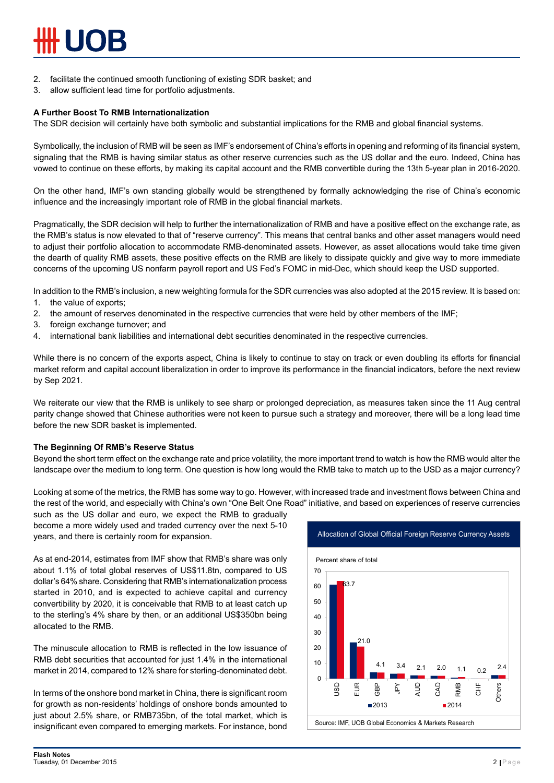- 2. facilitate the continued smooth functioning of existing SDR basket; and
- 3. allow sufficient lead time for portfolio adjustments.

#### **A Further Boost To RMB Internationalization**

The SDR decision will certainly have both symbolic and substantial implications for the RMB and global financial systems.

Symbolically, the inclusion of RMB will be seen as IMF's endorsement of China's efforts in opening and reforming of its financial system, signaling that the RMB is having similar status as other reserve currencies such as the US dollar and the euro. Indeed, China has vowed to continue on these efforts, by making its capital account and the RMB convertible during the 13th 5-year plan in 2016-2020.

On the other hand, IMF's own standing globally would be strengthened by formally acknowledging the rise of China's economic influence and the increasingly important role of RMB in the global financial markets.

Pragmatically, the SDR decision will help to further the internationalization of RMB and have a positive effect on the exchange rate, as the RMB's status is now elevated to that of "reserve currency". This means that central banks and other asset managers would need to adjust their portfolio allocation to accommodate RMB-denominated assets. However, as asset allocations would take time given the dearth of quality RMB assets, these positive effects on the RMB are likely to dissipate quickly and give way to more immediate concerns of the upcoming US nonfarm payroll report and US Fed's FOMC in mid-Dec, which should keep the USD supported.

In addition to the RMB's inclusion, a new weighting formula for the SDR currencies was also adopted at the 2015 review. It is based on:

- 1. the value of exports;
- 2. the amount of reserves denominated in the respective currencies that were held by other members of the IMF;
- 3. foreign exchange turnover; and
- 4. international bank liabilities and international debt securities denominated in the respective currencies.

While there is no concern of the exports aspect, China is likely to continue to stay on track or even doubling its efforts for financial market reform and capital account liberalization in order to improve its performance in the financial indicators, before the next review by Sep 2021.

We reiterate our view that the RMB is unlikely to see sharp or prolonged depreciation, as measures taken since the 11 Aug central parity change showed that Chinese authorities were not keen to pursue such a strategy and moreover, there will be a long lead time before the new SDR basket is implemented.

#### **The Beginning Of RMB's Reserve Status**

Beyond the short term effect on the exchange rate and price volatility, the more important trend to watch is how the RMB would alter the landscape over the medium to long term. One question is how long would the RMB take to match up to the USD as a major currency?

Looking at some of the metrics, the RMB has some way to go. However, with increased trade and investment flows between China and the rest of the world, and especially with China's own "One Belt One Road" initiative, and based on experiences of reserve currencies

such as the US dollar and euro, we expect the RMB to gradually become a more widely used and traded currency over the next 5-10 years, and there is certainly room for expansion.

As at end-2014, estimates from IMF show that RMB's share was only about 1.1% of total global reserves of US\$11.8tn, compared to US dollar's 64% share. Considering that RMB's internationalization process started in 2010, and is expected to achieve capital and currency convertibility by 2020, it is conceivable that RMB to at least catch up to the sterling's 4% share by then, or an additional US\$350bn being allocated to the RMB.

The minuscule allocation to RMB is reflected in the low issuance of RMB debt securities that accounted for just 1.4% in the international market in 2014, compared to 12% share for sterling-denominated debt.

In terms of the onshore bond market in China, there is significant room for growth as non-residents' holdings of onshore bonds amounted to just about 2.5% share, or RMB735bn, of the total market, which is insignificant even compared to emerging markets. For instance, bond

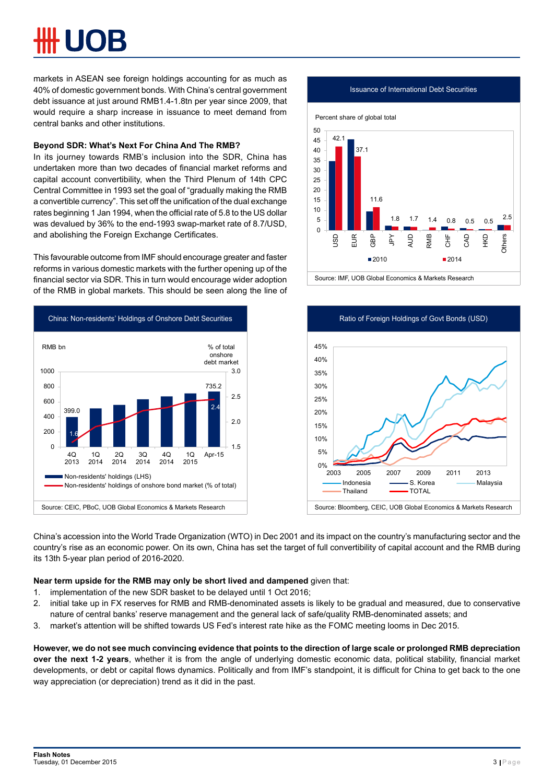markets in ASEAN see foreign holdings accounting for as much as 40% of domestic government bonds. With China's central government debt issuance at just around RMB1.4-1.8tn per year since 2009, that would require a sharp increase in issuance to meet demand from central banks and other institutions.

## **Beyond SDR: What's Next For China And The RMB?**

In its journey towards RMB's inclusion into the SDR, China has undertaken more than two decades of financial market reforms and capital account convertibility, when the Third Plenum of 14th CPC Central Committee in 1993 set the goal of "gradually making the RMB a convertible currency". This set off the unification of the dual exchange rates beginning 1 Jan 1994, when the official rate of 5.8 to the US dollar was devalued by 36% to the end-1993 swap-market rate of 8.7/USD, and abolishing the Foreign Exchange Certificates.

This favourable outcome from IMF should encourage greater and faster reforms in various domestic markets with the further opening up of the financial sector via SDR. This in turn would encourage wider adoption of the RMB in global markets. This should be seen along the line of





Issuance of International Debt Securities

Source: IMF, UOB Global Economics & Markets Research



China's accession into the World Trade Organization (WTO) in Dec 2001 and its impact on the country's manufacturing sector and the country's rise as an economic power. On its own, China has set the target of full convertibility of capital account and the RMB during its 13th 5-year plan period of 2016-2020.

#### **Near term upside for the RMB may only be short lived and dampened** given that:

- 1. implementation of the new SDR basket to be delayed until 1 Oct 2016;
- 2. initial take up in FX reserves for RMB and RMB-denominated assets is likely to be gradual and measured, due to conservative nature of central banks' reserve management and the general lack of safe/quality RMB-denominated assets; and
- 3. market's attention will be shifted towards US Fed's interest rate hike as the FOMC meeting looms in Dec 2015.

**However, we do not see much convincing evidence that points to the direction of large scale or prolonged RMB depreciation over the next 1-2 years**, whether it is from the angle of underlying domestic economic data, political stability, financial market developments, or debt or capital flows dynamics. Politically and from IMF's standpoint, it is difficult for China to get back to the one way appreciation (or depreciation) trend as it did in the past.

#### **Flash Notes Tuesday, 01 December 2015** 3 Page